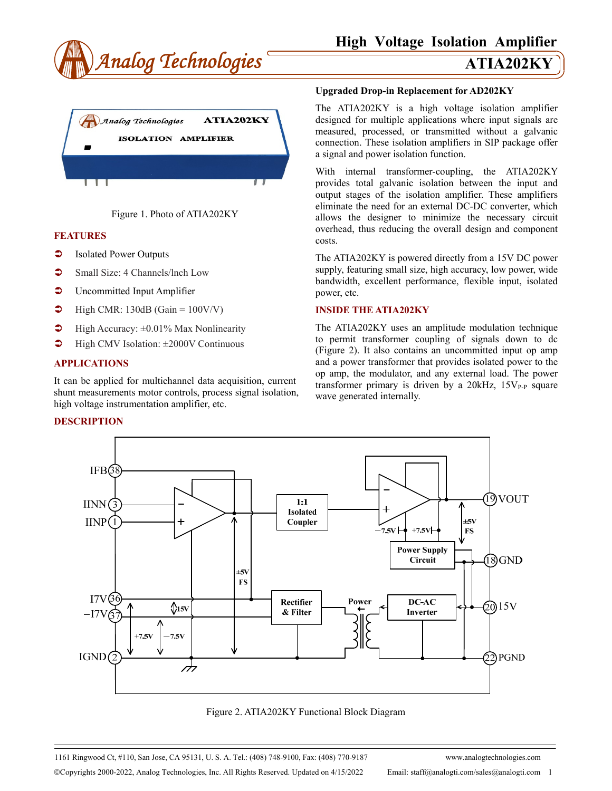





## **FEATURES**

- **C** Isolated Power Outputs
- Small Size: 4 Channels/Inch Low
- **C** Uncommitted Input Amplifier
- $\blacktriangleright$  High CMR: 130dB (Gain = 100V/V)
- $\blacktriangleright$  High Accuracy:  $\pm 0.01\%$  Max Nonlinearity
- $\blacktriangleright$  High CMV Isolation:  $\pm 2000$ V Continuous

## **APPLICATIONS**

It can be applied for multichannel data acquisition, current shunt measurements motor controls, process signal isolation, high voltage instrumentation amplifier, etc.

## **DESCRIPTION**

### **Upgraded Drop-in Replacement for AD202KY**

The ATIA202KY is a high voltage isolation amplifier designed for multiple applications where input signals are measured, processed, or transmitted without a galvanic connection. These isolation amplifiers in SIP package offer a signal and power isolation function.

With internal transformer-coupling, the ATIA202KY provides total galvanic isolation between the input and output stages of the isolation amplifier. These amplifiers eliminate the need for an external DC-DC converter, which allows the designer to minimize the necessary circuit overhead, thus reducing the overall design and component costs.

The ATIA202KY is powered directly from a 15V DC power supply, featuring small size, high accuracy, low power, wide bandwidth, excellent performance, flexible input, isolated power, etc.

## **INSIDE THE ATIA202KY**

The ATIA202KY uses an amplitude modulation technique to permit transformer coupling of signals down to dc (Figure 2). It also contains an uncommitted input op amp and a power transformer that provides isolated power to the op amp, the modulator, and any external load. The power transformer primary is driven by a  $20kHz$ ,  $15V_{P-P}$  square wave generated internally.



Figure 2. ATIA202KY Functional Block Diagram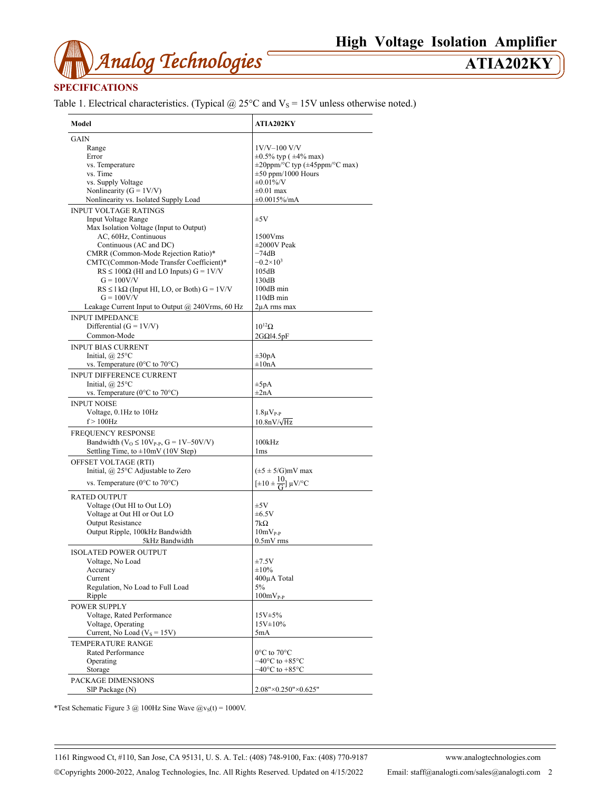

## **SPECIFICATIONS**

Table 1. Electrical characteristics. (Typical  $@$  25°C and  $V_s$  = 15V unless otherwise noted.)

| Model                                                                | <b>ATIA202KY</b>                           |
|----------------------------------------------------------------------|--------------------------------------------|
| GAIN                                                                 |                                            |
| Range                                                                | $1V/V-100 V/V$                             |
| Error                                                                | $\pm 0.5\%$ typ ( $\pm 4\%$ max)           |
| vs. Temperature                                                      | $\pm 20$ ppm/°C typ ( $\pm 45$ ppm/°C max) |
| vs. Time                                                             | $\pm 50$ ppm/1000 Hours                    |
|                                                                      | $\pm 0.01\%$ /V                            |
| vs. Supply Voltage                                                   |                                            |
| Nonlinearity ( $G = 1 V/V$ )                                         | $\pm 0.01$ max                             |
| Nonlinearity vs. Isolated Supply Load                                | ±0.0015%/mA                                |
| <b>INPUT VOLTAGE RATINGS</b>                                         |                                            |
| <b>Input Voltage Range</b>                                           | ±5V                                        |
| Max Isolation Voltage (Input to Output)                              |                                            |
| AC, 60Hz, Continuous                                                 | 1500Vms                                    |
| Continuous (AC and DC)                                               | $\pm 2000V$ Peak                           |
| CMRR (Common-Mode Rejection Ratio)*                                  | –74dB                                      |
| CMTC(Common-Mode Transfer Coefficient)*                              | $-0.2\times10^{3}$                         |
| $RS \le 100\Omega$ (HI and LO Inputs) $G = 1 \text{V/V}$             | 105dB                                      |
| $G = 100V/V$                                                         | 130dB                                      |
|                                                                      |                                            |
| $RS \leq 1 k\Omega$ (Input HI, LO, or Both) $G = 1 V/V$              | 100dB min                                  |
| $G = 100V/V$                                                         | 110dB min                                  |
| Leakage Current Input to Output $@$ 240Vrms, 60 Hz                   | 2µA rms max                                |
| <b>INPUT IMPEDANCE</b>                                               |                                            |
| Differential $(G = 1V/V)$                                            | $10^{12}$ $\Omega$                         |
| Common-Mode                                                          | $2G\Omega$ <sub>14.5pF</sub>               |
|                                                                      |                                            |
| <b>INPUT BIAS CURRENT</b>                                            |                                            |
| Initial, $\omega$ 25°C                                               | $\pm 30pA$                                 |
| vs. Temperature (0°C to 70°C)                                        | $\pm 10nA$                                 |
| <b>INPUT DIFFERENCE CURRENT</b>                                      |                                            |
| Initial, $\omega$ 25°C                                               | $\pm 5pA$                                  |
| vs. Temperature ( $0^{\circ}$ C to $70^{\circ}$ C)                   | $\pm 2nA$                                  |
|                                                                      |                                            |
| <b>INPUT NOISE</b>                                                   |                                            |
| Voltage, 0.1Hz to 10Hz                                               | $1.8\mu V_{P-P}$                           |
| $f > 100$ Hz                                                         | $10.8nV/\sqrt{Hz}$                         |
| FREQUENCY RESPONSE                                                   |                                            |
| Bandwidth ( $V$ <sub>O</sub> ≤ 10 $V$ <sub>P-P</sub> , G = 1V–50V/V) | 100kHz                                     |
| Settling Time, to $\pm 10$ mV (10V Step)                             | 1 <sub>ms</sub>                            |
|                                                                      |                                            |
| OFFSET VOLTAGE (RTI)                                                 |                                            |
| Initial, @ 25°C Adjustable to Zero                                   | $(\pm 5 \pm 5/\text{G})$ mV max            |
| vs. Temperature ( $0^{\circ}$ C to $70^{\circ}$ C)                   | $[\pm 10 \pm \frac{10}{G}] \mu V$ /°C      |
|                                                                      |                                            |
| <b>RATED OUTPUT</b>                                                  |                                            |
| Voltage (Out HI to Out LO)                                           | ±5V                                        |
| Voltage at Out HI or Out LO                                          | $\pm 6.5V$                                 |
| <b>Output Resistance</b>                                             | $7k\Omega$                                 |
| Output Ripple, 100kHz Bandwidth                                      | $10mV_{P-P}$                               |
| 5kHz Bandwidth                                                       | $0.5mV$ rms                                |
|                                                                      |                                            |
| <b>ISOLATED POWER OUTPUT</b>                                         |                                            |
| Voltage, No Load                                                     | ±7.5V                                      |
| Accuracy                                                             | ±10%                                       |
| Current                                                              | 400µA Total                                |
| Regulation, No Load to Full Load                                     | 5%                                         |
| Ripple                                                               | $100mV_{P-P}$                              |
|                                                                      |                                            |
| <b>POWER SUPPLY</b>                                                  |                                            |
| Voltage, Rated Performance                                           | 15V±5%                                     |
| Voltage, Operating                                                   | $15V \pm 10\%$                             |
| Current, No Load ( $V_s = 15V$ )                                     | 5mA                                        |
| TEMPERATURE RANGE                                                    |                                            |
| Rated Performance                                                    | $0^{\circ}$ C to $70^{\circ}$ C            |
|                                                                      |                                            |
| Operating                                                            | $-40^{\circ}$ C to $+85^{\circ}$ C         |
| Storage                                                              | $-40^{\circ}$ C to $+85^{\circ}$ C         |
| PACKAGE DIMENSIONS                                                   |                                            |
| SIP Package (N)                                                      | 2.08"×0.250"×0.625"                        |

\*Test Schematic Figure 3 @ 100Hz Sine Wave  $\omega_{\text{vs}}(t) = 1000V$ .

1161 Ringwood Ct, #110, San Jose, CA 95131, U. S. A. Tel.: (408) 748-9100, Fax: (408) 770-9187 www.analogtechnologies.com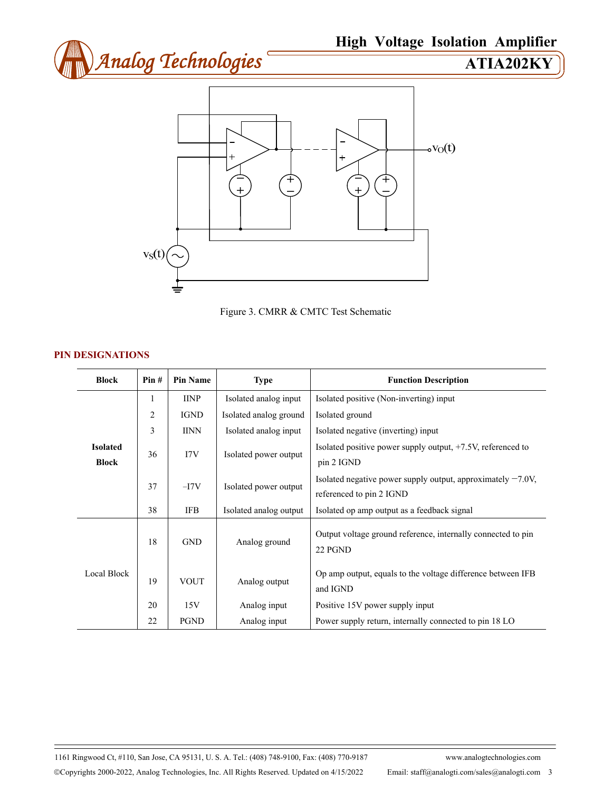





## **PIN DESIGNATIONS**

| <b>Block</b>                    | Pin#           | <b>Pin Name</b> | <b>Type</b>            | <b>Function Description</b>                                                                |
|---------------------------------|----------------|-----------------|------------------------|--------------------------------------------------------------------------------------------|
| <b>Isolated</b><br><b>Block</b> | 1              | <b>IINP</b>     | Isolated analog input  | Isolated positive (Non-inverting) input                                                    |
|                                 | $\overline{2}$ | <b>IGND</b>     | Isolated analog ground | Isolated ground                                                                            |
|                                 | 3              | <b>IINN</b>     | Isolated analog input  | Isolated negative (inverting) input                                                        |
|                                 | 36             | 17V             | Isolated power output  | Isolated positive power supply output, $+7.5V$ , referenced to<br>pin 2 IGND               |
|                                 | 37             | $-I7V$          | Isolated power output  | Isolated negative power supply output, approximately $-7.0V$ ,<br>referenced to pin 2 IGND |
|                                 | 38             | <b>IFB</b>      | Isolated analog output | Isolated op amp output as a feedback signal                                                |
| Local Block                     | 18             | <b>GND</b>      | Analog ground          | Output voltage ground reference, internally connected to pin<br>22 PGND                    |
|                                 | 19             | <b>VOUT</b>     | Analog output          | Op amp output, equals to the voltage difference between IFB<br>and IGND                    |
|                                 | 20             | 15V             | Analog input           | Positive 15V power supply input                                                            |
|                                 | 22             | <b>PGND</b>     | Analog input           | Power supply return, internally connected to pin 18 LO                                     |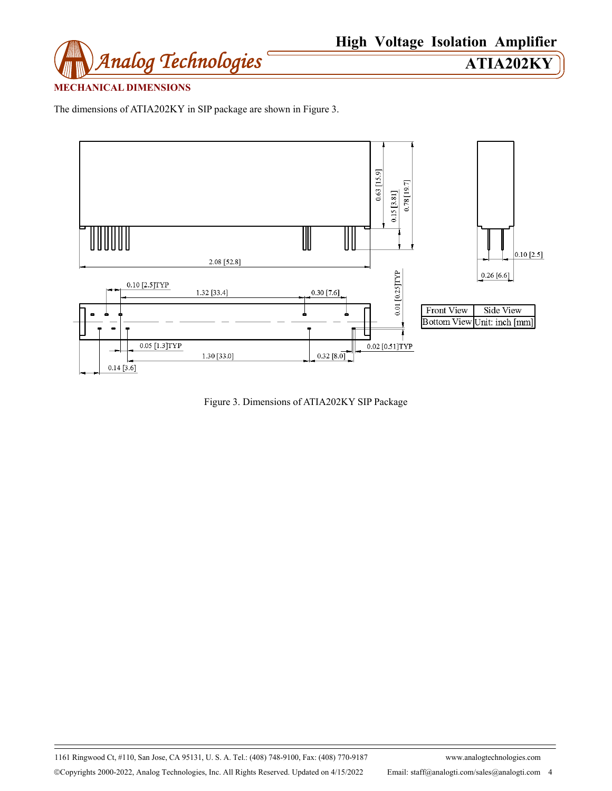

# **MECHANICAL DIMENSIONS**

The dimensions of ATIA202KY in SIP package are shown in Figure 3.



Figure 3. Dimensions of ATIA202KY SIP Package